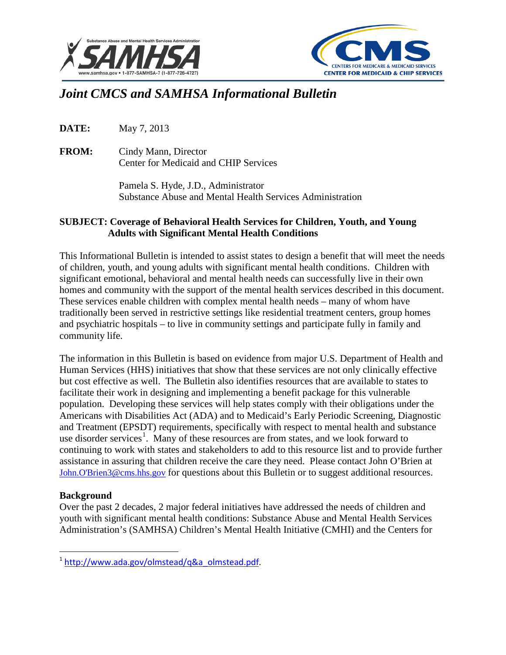



# *Joint CMCS and SAMHSA Informational Bulletin*

**DATE:** May 7, 2013

**FROM:** Cindy Mann, Director Center for Medicaid and CHIP Services

> Pamela S. Hyde, J.D., Administrator Substance Abuse and Mental Health Services Administration

### **SUBJECT: Coverage of Behavioral Health Services for Children, Youth, and Young Adults with Significant Mental Health Conditions**

This Informational Bulletin is intended to assist states to design a benefit that will meet the needs of children, youth, and young adults with significant mental health conditions. Children with significant emotional, behavioral and mental health needs can successfully live in their own homes and community with the support of the mental health services described in this document. These services enable children with complex mental health needs – many of whom have traditionally been served in restrictive settings like residential treatment centers, group homes and psychiatric hospitals – to live in community settings and participate fully in family and community life.

The information in this Bulletin is based on evidence from major U.S. Department of Health and Human Services (HHS) initiatives that show that these services are not only clinically effective but cost effective as well. The Bulletin also identifies resources that are available to states to facilitate their work in designing and implementing a benefit package for this vulnerable population. Developing these services will help states comply with their obligations under the Americans with Disabilities Act (ADA) and to Medicaid's Early Periodic Screening, Diagnostic and Treatment (EPSDT) requirements, specifically with respect to mental health and substance use disorder services<sup>[1](#page-0-0)</sup>. Many of these resources are from states, and we look forward to continuing to work with states and stakeholders to add to this resource list and to provide further assistance in assuring that children receive the care they need. Please contact John O'Brien at [John.O'Brien3@cms.hhs.gov](mailto:John.O) for questions about this Bulletin or to suggest additional resources.

### **Background**

 $\overline{\phantom{a}}$ 

Over the past 2 decades, 2 major federal initiatives have addressed the needs of children and youth with significant mental health conditions: Substance Abuse and Mental Health Services Administration's (SAMHSA) Children's Mental Health Initiative (CMHI) and the Centers for

<span id="page-0-0"></span><sup>1</sup> [http://www.ada.gov/olmstead/q&a\\_olmstead.pdf.](http://www.ada.gov/olmstead/q&a_olmstead.pdf)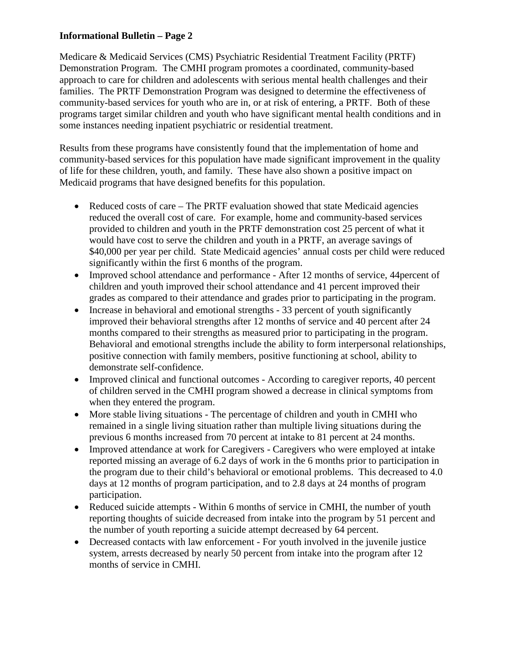Medicare & Medicaid Services (CMS) Psychiatric Residential Treatment Facility (PRTF) Demonstration Program. The CMHI program promotes a coordinated, community-based approach to care for children and adolescents with serious mental health challenges and their families. The PRTF Demonstration Program was designed to determine the effectiveness of community-based services for youth who are in, or at risk of entering, a PRTF. Both of these programs target similar children and youth who have significant mental health conditions and in some instances needing inpatient psychiatric or residential treatment.

Results from these programs have consistently found that the implementation of home and community-based services for this population have made significant improvement in the quality of life for these children, youth, and family. These have also shown a positive impact on Medicaid programs that have designed benefits for this population.

- Reduced costs of care The PRTF evaluation showed that state Medicaid agencies reduced the overall cost of care. For example, home and community-based services provided to children and youth in the PRTF demonstration cost 25 percent of what it would have cost to serve the children and youth in a PRTF, an average savings of \$40,000 per year per child. State Medicaid agencies' annual costs per child were reduced significantly within the first 6 months of the program.
- Improved school attendance and performance After 12 months of service, 44 percent of children and youth improved their school attendance and 41 percent improved their grades as compared to their attendance and grades prior to participating in the program.
- Increase in behavioral and emotional strengths 33 percent of youth significantly improved their behavioral strengths after 12 months of service and 40 percent after 24 months compared to their strengths as measured prior to participating in the program. Behavioral and emotional strengths include the ability to form interpersonal relationships, positive connection with family members, positive functioning at school, ability to demonstrate self-confidence.
- Improved clinical and functional outcomes According to caregiver reports, 40 percent of children served in the CMHI program showed a decrease in clinical symptoms from when they entered the program.
- More stable living situations The percentage of children and youth in CMHI who remained in a single living situation rather than multiple living situations during the previous 6 months increased from 70 percent at intake to 81 percent at 24 months.
- Improved attendance at work for Caregivers Caregivers who were employed at intake reported missing an average of 6.2 days of work in the 6 months prior to participation in the program due to their child's behavioral or emotional problems. This decreased to 4.0 days at 12 months of program participation, and to 2.8 days at 24 months of program participation.
- Reduced suicide attempts Within 6 months of service in CMHI, the number of youth reporting thoughts of suicide decreased from intake into the program by 51 percent and the number of youth reporting a suicide attempt decreased by 64 percent.
- Decreased contacts with law enforcement For youth involved in the juvenile justice system, arrests decreased by nearly 50 percent from intake into the program after 12 months of service in CMHI.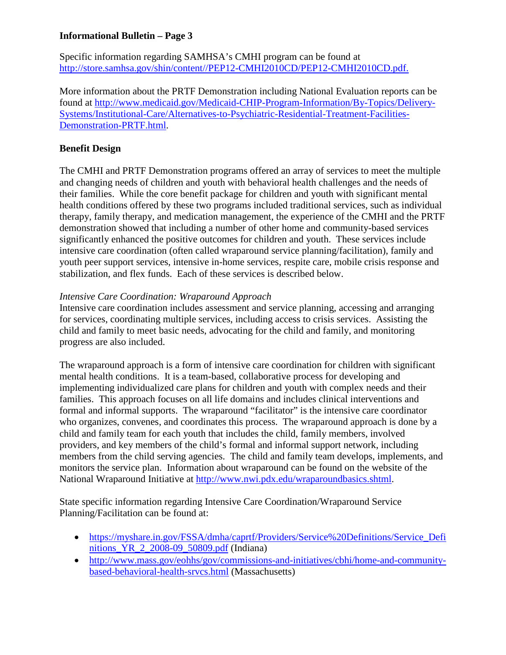Specific information regarding SAMHSA's CMHI program can be found at [http://store.samhsa.gov/shin/content//PEP12-CMHI2010CD/PEP12-CMHI2010CD.pdf.](http://store.samhsa.gov/shin/content/PEP12-CMHI2010CD/PEP12-CMHI2010CD.pdf)

More information about the PRTF Demonstration including National Evaluation reports can be found at [http://www.medicaid.gov/Medicaid-CHIP-Program-Information/By-Topics/Delivery-](http://www.medicaid.gov/Medicaid-CHIP-Program-Information/By-Topics/Delivery-Systems/Institutional-Care/Alternatives-to-Psychiatric-Residential-Treatment-Facilities-Demonstration-PRTF.html)[Systems/Institutional-Care/Alternatives-to-Psychiatric-Residential-Treatment-Facilities-](http://www.medicaid.gov/Medicaid-CHIP-Program-Information/By-Topics/Delivery-Systems/Institutional-Care/Alternatives-to-Psychiatric-Residential-Treatment-Facilities-Demonstration-PRTF.html)[Demonstration-PRTF.html.](http://www.medicaid.gov/Medicaid-CHIP-Program-Information/By-Topics/Delivery-Systems/Institutional-Care/Alternatives-to-Psychiatric-Residential-Treatment-Facilities-Demonstration-PRTF.html)

### **Benefit Design**

The CMHI and PRTF Demonstration programs offered an array of services to meet the multiple and changing needs of children and youth with behavioral health challenges and the needs of their families. While the core benefit package for children and youth with significant mental health conditions offered by these two programs included traditional services, such as individual therapy, family therapy, and medication management, the experience of the CMHI and the PRTF demonstration showed that including a number of other home and community-based services significantly enhanced the positive outcomes for children and youth. These services include intensive care coordination (often called wraparound service planning/facilitation), family and youth peer support services, intensive in-home services, respite care, mobile crisis response and stabilization, and flex funds. Each of these services is described below.

### *Intensive Care Coordination: Wraparound Approach*

Intensive care coordination includes assessment and service planning, accessing and arranging for services, coordinating multiple services, including access to crisis services. Assisting the child and family to meet basic needs, advocating for the child and family, and monitoring progress are also included.

The wraparound approach is a form of intensive care coordination for children with significant mental health conditions. It is a team-based, collaborative process for developing and implementing individualized care plans for children and youth with complex needs and their families. This approach focuses on all life domains and includes clinical interventions and formal and informal supports. The wraparound "facilitator" is the intensive care coordinator who organizes, convenes, and coordinates this process. The wraparound approach is done by a child and family team for each youth that includes the child, family members, involved providers, and key members of the child's formal and informal support network, including members from the child serving agencies. The child and family team develops, implements, and monitors the service plan. Information about wraparound can be found on the website of the National Wraparound Initiative at [http://www.nwi.pdx.edu/wraparoundbasics.shtml.](http://www.nwi.pdx.edu/wraparoundbasics.shtml)

State specific information regarding Intensive Care Coordination/Wraparound Service Planning/Facilitation can be found at:

- https://myshare.in.gov/FSSA/dmha/caprtf/Providers/Service%20Definitions/Service Defi [nitions\\_YR\\_2\\_2008-09\\_50809.pdf](https://myshare.in.gov/FSSA/dmha/caprtf/Providers/Service%20Definitions/Service_Definitions_YR_2_2008-09_50809.pdf) (Indiana)
- [http://www.mass.gov/eohhs/gov/commissions-and-initiatives/cbhi/home-and-community](http://www.mass.gov/eohhs/gov/commissions-and-initiatives/cbhi/home-and-community-based-behavioral-health-srvcs.html)[based-behavioral-health-srvcs.html](http://www.mass.gov/eohhs/gov/commissions-and-initiatives/cbhi/home-and-community-based-behavioral-health-srvcs.html) (Massachusetts)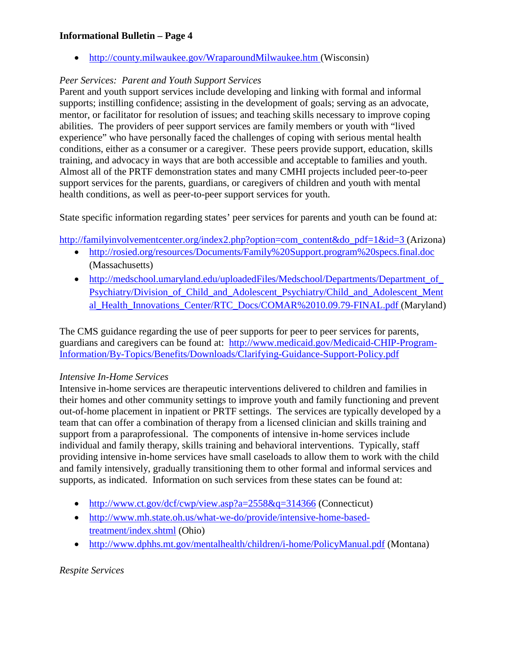• <http://county.milwaukee.gov/WraparoundMilwaukee.htm> (Wisconsin)

# *Peer Services: Parent and Youth Support Services*

Parent and youth support services include developing and linking with formal and informal supports; instilling confidence; assisting in the development of goals; serving as an advocate, mentor, or facilitator for resolution of issues; and teaching skills necessary to improve coping abilities. The providers of peer support services are family members or youth with "lived experience" who have personally faced the challenges of coping with serious mental health conditions, either as a consumer or a caregiver. These peers provide support, education, skills training, and advocacy in ways that are both accessible and acceptable to families and youth. Almost all of the PRTF demonstration states and many CMHI projects included peer-to-peer support services for the parents, guardians, or caregivers of children and youth with mental health conditions, as well as peer-to-peer support services for youth.

State specific information regarding states' peer services for parents and youth can be found at:

[http://familyinvolvementcenter.org/index2.php?option=com\\_content&do\\_pdf=1&id=3](http://familyinvolvementcenter.org/index2.php?option=com_content&do_pdf=1&id=3) (Arizona)

- <http://rosied.org/resources/Documents/Family%20Support.program%20specs.final.doc> (Massachusetts)
- http://medschool.umaryland.edu/uploadedFiles/Medschool/Departments/Department\_of Psychiatry/Division of Child and Adolescent Psychiatry/Child and Adolescent Ment [al\\_Health\\_Innovations\\_Center/RTC\\_Docs/COMAR%2010.09.79-FINAL.pdf](http://medschool.umaryland.edu/uploadedFiles/Medschool/Departments/Department_of_Psychiatry/Division_of_Child_and_Adolescent_Psychiatry/Child_and_Adolescent_Mental_Health_Innovations_Center/RTC_Docs/COMAR%2010.09.79-FINAL.pdf) (Maryland)

The CMS guidance regarding the use of peer supports for peer to peer services for parents, guardians and caregivers can be found at: [http://www.medicaid.gov/Medicaid-CHIP-Program-](http://www.medicaid.gov/Medicaid-CHIP-Program-Information/By-Topics/Benefits/Downloads/Clarifying-Guidance-Support-Policy.pdf)[Information/By-Topics/Benefits/Downloads/Clarifying-Guidance-Support-Policy.pdf](http://www.medicaid.gov/Medicaid-CHIP-Program-Information/By-Topics/Benefits/Downloads/Clarifying-Guidance-Support-Policy.pdf) 

### *Intensive In-Home Services*

Intensive in-home services are therapeutic interventions delivered to children and families in their homes and other community settings to improve youth and family functioning and prevent out-of-home placement in inpatient or PRTF settings. The services are typically developed by a team that can offer a combination of therapy from a licensed clinician and skills training and support from a paraprofessional. The components of intensive in-home services include individual and family therapy, skills training and behavioral interventions. Typically, staff providing intensive in-home services have small caseloads to allow them to work with the child and family intensively, gradually transitioning them to other formal and informal services and supports, as indicated. Information on such services from these states can be found at:

- <http://www.ct.gov/dcf/cwp/view.asp?a=2558&q=314366>(Connecticut)
- [http://www.mh.state.oh.us/what-we-do/provide/intensive-home-based](http://www.mh.state.oh.us/what-we-do/provide/intensive-home-based-treatment/index.shtml)[treatment/index.shtml](http://www.mh.state.oh.us/what-we-do/provide/intensive-home-based-treatment/index.shtml) (Ohio)
- <http://www.dphhs.mt.gov/mentalhealth/children/i-home/PolicyManual.pdf>(Montana)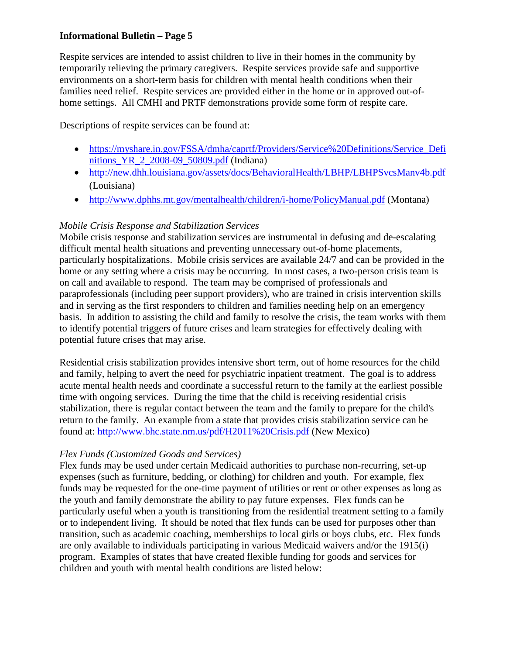Respite services are intended to assist children to live in their homes in the community by temporarily relieving the primary caregivers. Respite services provide safe and supportive environments on a short-term basis for children with mental health conditions when their families need relief. Respite services are provided either in the home or in approved out-ofhome settings. All CMHI and PRTF demonstrations provide some form of respite care.

Descriptions of respite services can be found at:

- https://myshare.in.gov/FSSA/dmha/caprtf/Providers/Service%20Definitions/Service Defi nitions YR 2 2008-09 50809.pdf (Indiana)
- <http://new.dhh.louisiana.gov/assets/docs/BehavioralHealth/LBHP/LBHPSvcsManv4b.pdf> (Louisiana)
- <http://www.dphhs.mt.gov/mentalhealth/children/i-home/PolicyManual.pdf>(Montana)

## *Mobile Crisis Response and Stabilization Services*

Mobile crisis response and stabilization services are instrumental in defusing and de-escalating difficult mental health situations and preventing unnecessary out-of-home placements, particularly hospitalizations. Mobile crisis services are available 24/7 and can be provided in the home or any setting where a crisis may be occurring. In most cases, a two-person crisis team is on call and available to respond. The team may be comprised of professionals and paraprofessionals (including peer support providers), who are trained in crisis intervention skills and in serving as the first responders to children and families needing help on an emergency basis. In addition to assisting the child and family to resolve the crisis, the team works with them to identify potential triggers of future crises and learn strategies for effectively dealing with potential future crises that may arise.

Residential crisis stabilization provides intensive short term, out of home resources for the child and family, helping to avert the need for psychiatric inpatient treatment. The goal is to address acute mental health needs and coordinate a successful return to the family at the earliest possible time with ongoing services. During the time that the child is receiving residential crisis stabilization, there is regular contact between the team and the family to prepare for the child's return to the family. An example from a state that provides crisis stabilization service can be found at:<http://www.bhc.state.nm.us/pdf/H2011%20Crisis.pdf> (New Mexico)

### *Flex Funds (Customized Goods and Services)*

Flex funds may be used under certain Medicaid authorities to purchase non-recurring, set-up expenses (such as furniture, bedding, or clothing) for children and youth. For example, flex funds may be requested for the one-time payment of utilities or rent or other expenses as long as the youth and family demonstrate the ability to pay future expenses. Flex funds can be particularly useful when a youth is transitioning from the residential treatment setting to a family or to independent living. It should be noted that flex funds can be used for purposes other than transition, such as academic coaching, memberships to local girls or boys clubs, etc. Flex funds are only available to individuals participating in various Medicaid waivers and/or the 1915(i) program. Examples of states that have created flexible funding for goods and services for children and youth with mental health conditions are listed below: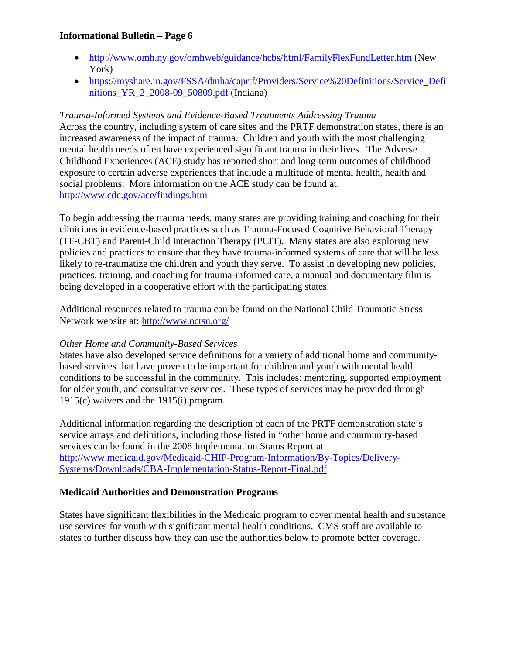- <http://www.omh.ny.gov/omhweb/guidance/hcbs/html/FamilyFlexFundLetter.htm>(New York)
- [https://myshare.in.gov/FSSA/dmha/caprtf/Providers/Service%20Definitions/Service\\_Defi](https://myshare.in.gov/FSSA/dmha/caprtf/Providers/Service%20Definitions/Service_Definitions_YR_2_2008-09_50809.pdf) nitions YR 2 2008-09 50809.pdf (Indiana)

#### *Trauma-Informed Systems and Evidence-Based Treatments Addressing Trauma*

Across the country, including system of care sites and the PRTF demonstration states, there is an increased awareness of the impact of trauma. Children and youth with the most challenging mental health needs often have experienced significant trauma in their lives. The Adverse Childhood Experiences (ACE) study has reported short and long-term outcomes of childhood exposure to certain adverse experiences that include a multitude of mental health, health and social problems. More information on the ACE study can be found at: <http://www.cdc.gov/ace/findings.htm>

To begin addressing the trauma needs, many states are providing training and coaching for their clinicians in evidence-based practices such as Trauma-Focused Cognitive Behavioral Therapy (TF-CBT) and Parent-Child Interaction Therapy (PCIT). Many states are also exploring new policies and practices to ensure that they have trauma-informed systems of care that will be less likely to re-traumatize the children and youth they serve. To assist in developing new policies, practices, training, and coaching for trauma-informed care, a manual and documentary film is being developed in a cooperative effort with the participating states.

Additional resources related to trauma can be found on the National Child Traumatic Stress Network website at:<http://www.nctsn.org/>

#### *Other Home and Community-Based Services*

States have also developed service definitions for a variety of additional home and communitybased services that have proven to be important for children and youth with mental health conditions to be successful in the community. This includes: mentoring, supported employment for older youth, and consultative services. These types of services may be provided through 1915(c) waivers and the 1915(i) program.

Additional information regarding the description of each of the PRTF demonstration state's service arrays and definitions, including those listed in "other home and community-based services can be found in the 2008 Implementation Status Report at [http://www.medicaid.gov/Medicaid-CHIP-Program-Information/By-Topics/Delivery-](http://www.medicaid.gov/Medicaid-CHIP-Program-Information/By-Topics/Delivery-Systems/Downloads/CBA-Implementation-Status-Report-Final.pdf)[Systems/Downloads/CBA-Implementation-Status-Report-Final.pdf](http://www.medicaid.gov/Medicaid-CHIP-Program-Information/By-Topics/Delivery-Systems/Downloads/CBA-Implementation-Status-Report-Final.pdf) 

#### **Medicaid Authorities and Demonstration Programs**

States have significant flexibilities in the Medicaid program to cover mental health and substance use services for youth with significant mental health conditions. CMS staff are available to states to further discuss how they can use the authorities below to promote better coverage.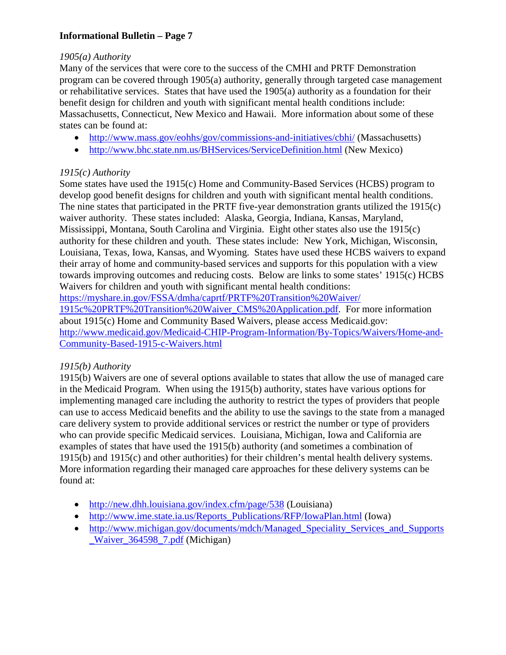### *1905(a) Authority*

Many of the services that were core to the success of the CMHI and PRTF Demonstration program can be covered through 1905(a) authority, generally through targeted case management or rehabilitative services. States that have used the 1905(a) authority as a foundation for their benefit design for children and youth with significant mental health conditions include: Massachusetts, Connecticut, New Mexico and Hawaii. More information about some of these states can be found at:

- <http://www.mass.gov/eohhs/gov/commissions-and-initiatives/cbhi/> (Massachusetts)
- <http://www.bhc.state.nm.us/BHServices/ServiceDefinition.html> (New Mexico)

# *1915(c) Authority*

Some states have used the 1915(c) Home and Community-Based Services (HCBS) program to develop good benefit designs for children and youth with significant mental health conditions. The nine states that participated in the PRTF five-year demonstration grants utilized the 1915(c) waiver authority. These states included: Alaska, Georgia, Indiana, Kansas, Maryland, Mississippi, Montana, South Carolina and Virginia. Eight other states also use the 1915(c) authority for these children and youth. These states include: New York, Michigan, Wisconsin, Louisiana, Texas, Iowa, Kansas, and Wyoming. States have used these HCBS waivers to expand their array of home and community-based services and supports for this population with a view towards improving outcomes and reducing costs. Below are links to some states' 1915(c) HCBS Waivers for children and youth with significant mental health conditions:

[https://myshare.in.gov/FSSA/dmha/caprtf/PRTF%20Transition%20Waiver/](https://myshare.in.gov/FSSA/dmha/caprtf/PRTF%20Transition%20Waiver/%201915c%20PRTF%20Transition%20Waiver_CMS%20Application.pdf) 

[1915c%20PRTF%20Transition%20Waiver\\_CMS%20Application.pdf.](https://myshare.in.gov/FSSA/dmha/caprtf/PRTF%20Transition%20Waiver/%201915c%20PRTF%20Transition%20Waiver_CMS%20Application.pdf) For more information about 1915(c) Home and Community Based Waivers, please access Medicaid.gov: [http://www.medicaid.gov/Medicaid-CHIP-Program-Information/By-Topics/Waivers/Home-and-](http://www.medicaid.gov/Medicaid-CHIP-Program-Information/By-Topics/Waivers/Home-and-Community-Based-1915-c-Waivers.html)[Community-Based-1915-c-Waivers.html](http://www.medicaid.gov/Medicaid-CHIP-Program-Information/By-Topics/Waivers/Home-and-Community-Based-1915-c-Waivers.html)

### *1915(b) Authority*

1915(b) Waivers are one of several options available to states that allow the use of managed care in the Medicaid Program. When using the 1915(b) authority, states have various options for implementing managed care including the authority to restrict the types of providers that people can use to access Medicaid benefits and the ability to use the savings to the state from a managed care delivery system to provide additional services or restrict the number or type of providers who can provide specific Medicaid services. Louisiana, Michigan, Iowa and California are examples of states that have used the 1915(b) authority (and sometimes a combination of 1915(b) and 1915(c) and other authorities) for their children's mental health delivery systems. More information regarding their managed care approaches for these delivery systems can be found at:

- <http://new.dhh.louisiana.gov/index.cfm/page/538> (Louisiana)
- [http://www.ime.state.ia.us/Reports\\_Publications/RFP/IowaPlan.html](http://www.ime.state.ia.us/Reports_Publications/RFP/IowaPlan.html) (Iowa)
- http://www.michigan.gov/documents/mdch/Managed Speciality Services and Supports Waiver 364598 7.pdf (Michigan)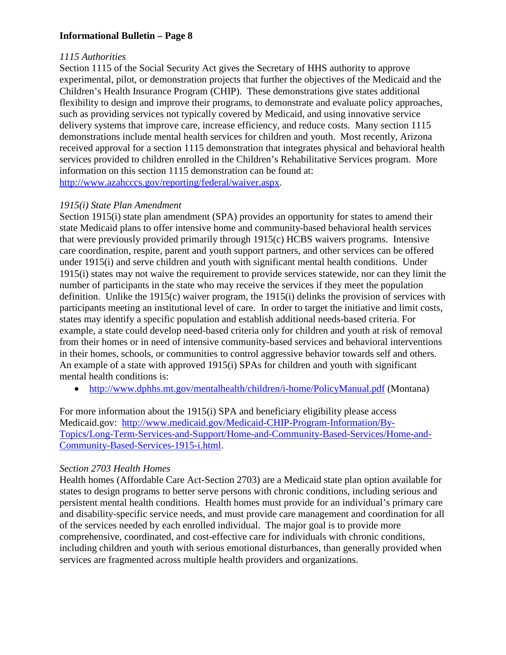## *1115 Authorities*

Section 1115 of the Social Security Act gives the Secretary of HHS authority to approve experimental, pilot, or demonstration projects that further the objectives of the Medicaid and the Children's Health Insurance Program (CHIP). These demonstrations give states additional flexibility to design and improve their programs, to demonstrate and evaluate policy approaches, such as providing services not typically covered by Medicaid, and using innovative service delivery systems that improve care, increase efficiency, and reduce costs. Many section 1115 demonstrations include mental health services for children and youth. Most recently, Arizona received approval for a section 1115 demonstration that integrates physical and behavioral health services provided to children enrolled in the Children's Rehabilitative Services program. More information on this section 1115 demonstration can be found at: [http://www.azahcccs.gov/reporting/federal/waiver.aspx.](http://www.azahcccs.gov/reporting/federal/waiver.aspx)

### *1915(i) State Plan Amendment*

Section 1915(i) state plan amendment (SPA) provides an opportunity for states to amend their state Medicaid plans to offer intensive home and community-based behavioral health services that were previously provided primarily through 1915(c) HCBS waivers programs. Intensive care coordination, respite, parent and youth support partners, and other services can be offered under 1915(i) and serve children and youth with significant mental health conditions. Under 1915(i) states may not waive the requirement to provide services statewide, nor can they limit the number of participants in the state who may receive the services if they meet the population definition. Unlike the 1915(c) waiver program, the 1915(i) delinks the provision of services with participants meeting an institutional level of care. In order to target the initiative and limit costs, states may identify a specific population and establish additional needs-based criteria. For example, a state could develop need-based criteria only for children and youth at risk of removal from their homes or in need of intensive community-based services and behavioral interventions in their homes, schools, or communities to control aggressive behavior towards self and others. An example of a state with approved 1915(i) SPAs for children and youth with significant mental health conditions is:

• <http://www.dphhs.mt.gov/mentalhealth/children/i-home/PolicyManual.pdf>(Montana)

For more information about the 1915(i) SPA and beneficiary eligibility please access Medicaid.gov: [http://www.medicaid.gov/Medicaid-CHIP-Program-Information/By-](http://www.medicaid.gov/Medicaid-CHIP-Program-Information/By-Topics/Long-Term-Services-and-Support/Home-and-Community-Based-Services/Home-and-Community-Based-Services-1915-i.html)[Topics/Long-Term-Services-and-Support/Home-and-Community-Based-Services/Home-and-](http://www.medicaid.gov/Medicaid-CHIP-Program-Information/By-Topics/Long-Term-Services-and-Support/Home-and-Community-Based-Services/Home-and-Community-Based-Services-1915-i.html)[Community-Based-Services-1915-i.html.](http://www.medicaid.gov/Medicaid-CHIP-Program-Information/By-Topics/Long-Term-Services-and-Support/Home-and-Community-Based-Services/Home-and-Community-Based-Services-1915-i.html)

### *Section 2703 Health Homes*

Health homes (Affordable Care Act-Section 2703) are a Medicaid state plan option available for states to design programs to better serve persons with chronic conditions, including serious and persistent mental health conditions. Health homes must provide for an individual's primary care and disability-specific service needs, and must provide care management and coordination for all of the services needed by each enrolled individual. The major goal is to provide more comprehensive, coordinated, and cost-effective care for individuals with chronic conditions, including children and youth with serious emotional disturbances, than generally provided when services are fragmented across multiple health providers and organizations.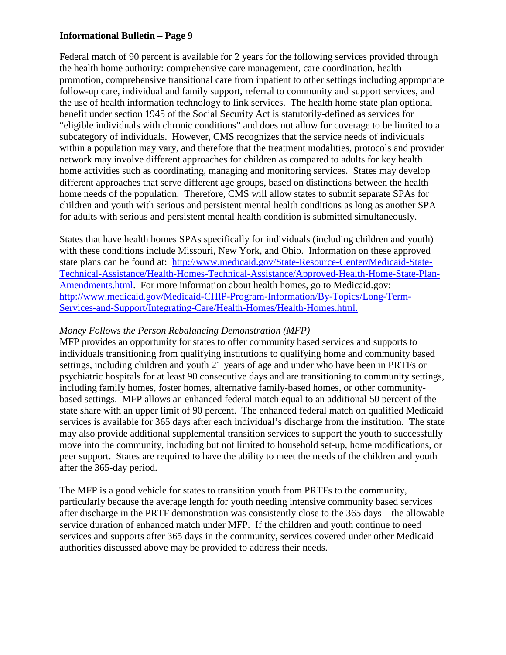Federal match of 90 percent is available for 2 years for the following services provided through the health home authority: comprehensive care management, care coordination, health promotion, comprehensive transitional care from inpatient to other settings including appropriate follow-up care, individual and family support, referral to community and support services, and the use of health information technology to link services. The health home state plan optional benefit under section 1945 of the Social Security Act is statutorily-defined as services for "eligible individuals with chronic conditions" and does not allow for coverage to be limited to a subcategory of individuals. However, CMS recognizes that the service needs of individuals within a population may vary, and therefore that the treatment modalities, protocols and provider network may involve different approaches for children as compared to adults for key health home activities such as coordinating, managing and monitoring services. States may develop different approaches that serve different age groups, based on distinctions between the health home needs of the population. Therefore, CMS will allow states to submit separate SPAs for children and youth with serious and persistent mental health conditions as long as another SPA for adults with serious and persistent mental health condition is submitted simultaneously.

States that have health homes SPAs specifically for individuals (including children and youth) with these conditions include Missouri, New York, and Ohio. Information on these approved state plans can be found at: [http://www.medicaid.gov/State-Resource-Center/Medicaid-State-](http://www.medicaid.gov/State-Resource-Center/Medicaid-State-Technical-Assistance/Health-Homes-Technical-Assistance/Approved-Health-Home-State-Plan-Amendments.html)[Technical-Assistance/Health-Homes-Technical-Assistance/Approved-Health-Home-State-Plan-](http://www.medicaid.gov/State-Resource-Center/Medicaid-State-Technical-Assistance/Health-Homes-Technical-Assistance/Approved-Health-Home-State-Plan-Amendments.html)[Amendments.html.](http://www.medicaid.gov/State-Resource-Center/Medicaid-State-Technical-Assistance/Health-Homes-Technical-Assistance/Approved-Health-Home-State-Plan-Amendments.html) For more information about health homes, go to Medicaid.gov: [http://www.medicaid.gov/Medicaid-CHIP-Program-Information/By-Topics/Long-Term-](http://www.medicaid.gov/Medicaid-CHIP-Program-Information/By-Topics/Long-Term-Services-and-Support/Integrating-Care/Health-Homes/Health-Homes.html)[Services-and-Support/Integrating-Care/Health-Homes/Health-Homes.html.](http://www.medicaid.gov/Medicaid-CHIP-Program-Information/By-Topics/Long-Term-Services-and-Support/Integrating-Care/Health-Homes/Health-Homes.html)

#### *Money Follows the Person Rebalancing Demonstration (MFP)*

MFP provides an opportunity for states to offer community based services and supports to individuals transitioning from qualifying institutions to qualifying home and community based settings, including children and youth 21 years of age and under who have been in PRTFs or psychiatric hospitals for at least 90 consecutive days and are transitioning to community settings, including family homes, foster homes, alternative family-based homes, or other communitybased settings. MFP allows an enhanced federal match equal to an additional 50 percent of the state share with an upper limit of 90 percent. The enhanced federal match on qualified Medicaid services is available for 365 days after each individual's discharge from the institution. The state may also provide additional supplemental transition services to support the youth to successfully move into the community, including but not limited to household set-up, home modifications, or peer support. States are required to have the ability to meet the needs of the children and youth after the 365-day period.

The MFP is a good vehicle for states to transition youth from PRTFs to the community, particularly because the average length for youth needing intensive community based services after discharge in the PRTF demonstration was consistently close to the 365 days – the allowable service duration of enhanced match under MFP. If the children and youth continue to need services and supports after 365 days in the community, services covered under other Medicaid authorities discussed above may be provided to address their needs.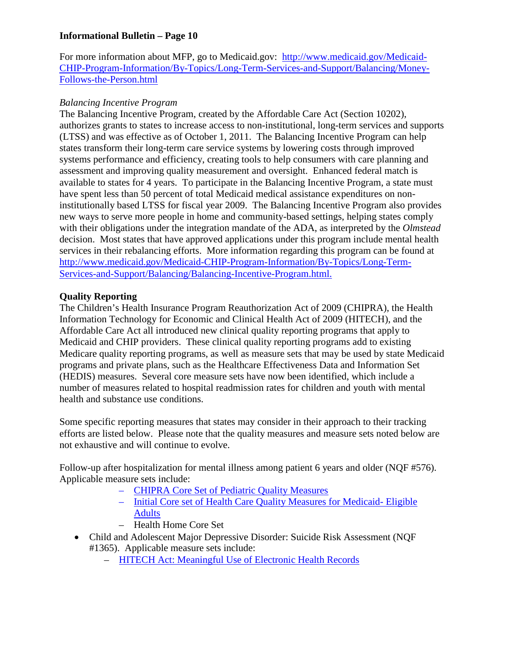For more information about MFP, go to Medicaid.gov: [http://www.medicaid.gov/Medicaid-](http://www.medicaid.gov/Medicaid-CHIP-Program-Information/By-Topics/Long-Term-Services-and-Support/Balancing/Money-Follows-the-Person.html)[CHIP-Program-Information/By-Topics/Long-Term-Services-and-Support/Balancing/Money-](http://www.medicaid.gov/Medicaid-CHIP-Program-Information/By-Topics/Long-Term-Services-and-Support/Balancing/Money-Follows-the-Person.html)[Follows-the-Person.html](http://www.medicaid.gov/Medicaid-CHIP-Program-Information/By-Topics/Long-Term-Services-and-Support/Balancing/Money-Follows-the-Person.html) 

### *Balancing Incentive Program*

The Balancing Incentive Program, created by the Affordable Care Act (Section 10202), authorizes grants to states to increase access to non-institutional, long-term services and supports (LTSS) and was effective as of October 1, 2011. The Balancing Incentive Program can help states transform their long-term care service systems by lowering costs through improved systems performance and efficiency, creating tools to help consumers with care planning and assessment and improving quality measurement and oversight. Enhanced federal match is available to states for 4 years. To participate in the Balancing Incentive Program, a state must have spent less than 50 percent of total Medicaid medical assistance expenditures on noninstitutionally based LTSS for fiscal year 2009. The Balancing Incentive Program also provides new ways to serve more people in home and community-based settings, helping states comply with their obligations under the integration mandate of the ADA, as interpreted by the *Olmstead* decision. Most states that have approved applications under this program include mental health services in their rebalancing efforts. More information regarding this program can be found at [http://www.medicaid.gov/Medicaid-CHIP-Program-Information/By-Topics/Long-Term-](http://www.medicaid.gov/Medicaid-CHIP-Program-Information/By-Topics/Long-Term-Services-and-Support/Balancing/Balancing-Incentive-Program.html)[Services-and-Support/Balancing/Balancing-Incentive-Program.html.](http://www.medicaid.gov/Medicaid-CHIP-Program-Information/By-Topics/Long-Term-Services-and-Support/Balancing/Balancing-Incentive-Program.html)

### **Quality Reporting**

The Children's Health Insurance Program Reauthorization Act of 2009 (CHIPRA), the Health Information Technology for Economic and Clinical Health Act of 2009 (HITECH), and the Affordable Care Act all introduced new clinical quality reporting programs that apply to Medicaid and CHIP providers. These clinical quality reporting programs add to existing Medicare quality reporting programs, as well as measure sets that may be used by state Medicaid programs and private plans, such as the Healthcare Effectiveness Data and Information Set (HEDIS) measures. Several core measure sets have now been identified, which include a number of measures related to hospital readmission rates for children and youth with mental health and substance use conditions.

Some specific reporting measures that states may consider in their approach to their tracking efforts are listed below. Please note that the quality measures and measure sets noted below are not exhaustive and will continue to evolve.

Follow-up after hospitalization for mental illness among patient 6 years and older (NQF #576). Applicable measure sets include:

- [CHIPRA Core Set of Pediatric Quality Measures](http://www.ahrq.gov/chipra/pqmpmeasures.htm#note5)
- [Initial Core set of Health Care Quality Measures for Medicaid- Eligible](http://www.medicaid.gov/Medicaid-CHIP-Program-Information/By-Topics/Quality-of-Care/Downloads/AdultCoreMeasures.pdf)  [Adults](http://www.medicaid.gov/Medicaid-CHIP-Program-Information/By-Topics/Quality-of-Care/Downloads/AdultCoreMeasures.pdf)
- Health Home Core Set
- Child and Adolescent Major Depressive Disorder: Suicide Risk Assessment (NQF #1365). Applicable measure sets include:
	- [HITECH Act: Meaningful Use of Electronic Health Records](http://www.cms.gov/Regulations-and-Guidance/Legislation/EHRIncentivePrograms/Downloads/EP_MeasuresTable_Posting_CQMs.pdf)